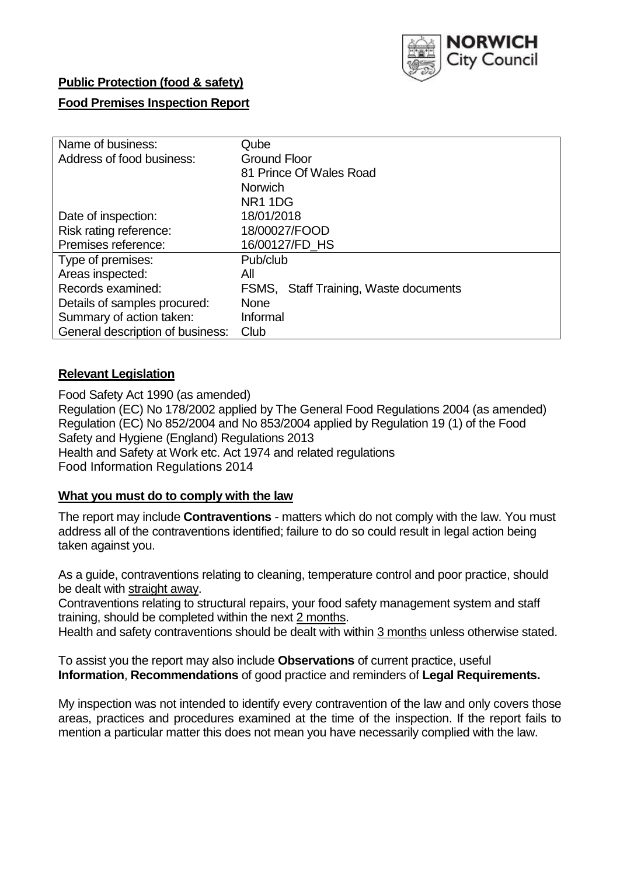

## **Public Protection (food & safety)**

## **Food Premises Inspection Report**

| Name of business:                | Qube                                  |  |  |  |  |  |
|----------------------------------|---------------------------------------|--|--|--|--|--|
| Address of food business:        | <b>Ground Floor</b>                   |  |  |  |  |  |
|                                  | 81 Prince Of Wales Road               |  |  |  |  |  |
|                                  | <b>Norwich</b>                        |  |  |  |  |  |
|                                  | NR <sub>1</sub> 1D <sub>G</sub>       |  |  |  |  |  |
| Date of inspection:              | 18/01/2018                            |  |  |  |  |  |
| Risk rating reference:           | 18/00027/FOOD                         |  |  |  |  |  |
| Premises reference:              | 16/00127/FD HS                        |  |  |  |  |  |
| Type of premises:                | Pub/club                              |  |  |  |  |  |
| Areas inspected:                 | All                                   |  |  |  |  |  |
| Records examined:                | FSMS, Staff Training, Waste documents |  |  |  |  |  |
| Details of samples procured:     | <b>None</b>                           |  |  |  |  |  |
| Summary of action taken:         | Informal                              |  |  |  |  |  |
| General description of business: | Club                                  |  |  |  |  |  |

### **Relevant Legislation**

Food Safety Act 1990 (as amended) Regulation (EC) No 178/2002 applied by The General Food Regulations 2004 (as amended) Regulation (EC) No 852/2004 and No 853/2004 applied by Regulation 19 (1) of the Food Safety and Hygiene (England) Regulations 2013 Health and Safety at Work etc. Act 1974 and related regulations Food Information Regulations 2014

### **What you must do to comply with the law**

The report may include **Contraventions** - matters which do not comply with the law. You must address all of the contraventions identified; failure to do so could result in legal action being taken against you.

As a guide, contraventions relating to cleaning, temperature control and poor practice, should be dealt with straight away.

Contraventions relating to structural repairs, your food safety management system and staff training, should be completed within the next 2 months.

Health and safety contraventions should be dealt with within 3 months unless otherwise stated.

To assist you the report may also include **Observations** of current practice, useful **Information**, **Recommendations** of good practice and reminders of **Legal Requirements.**

My inspection was not intended to identify every contravention of the law and only covers those areas, practices and procedures examined at the time of the inspection. If the report fails to mention a particular matter this does not mean you have necessarily complied with the law.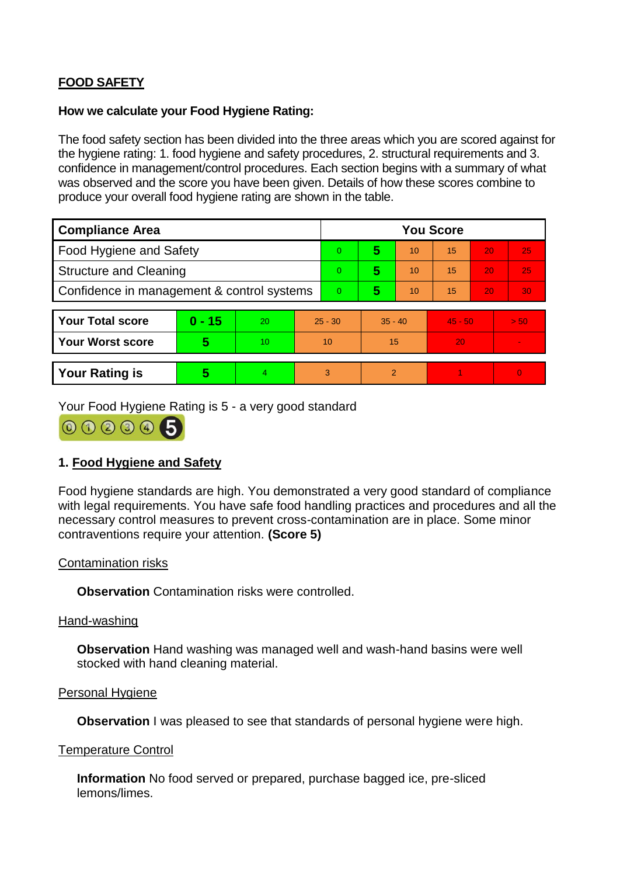# **FOOD SAFETY**

### **How we calculate your Food Hygiene Rating:**

The food safety section has been divided into the three areas which you are scored against for the hygiene rating: 1. food hygiene and safety procedures, 2. structural requirements and 3. confidence in management/control procedures. Each section begins with a summary of what was observed and the score you have been given. Details of how these scores combine to produce your overall food hygiene rating are shown in the table.

| <b>Compliance Area</b>                     |          |                  |           | <b>You Score</b> |               |    |           |    |                |  |
|--------------------------------------------|----------|------------------|-----------|------------------|---------------|----|-----------|----|----------------|--|
| Food Hygiene and Safety                    |          |                  |           | 0                | 5             | 10 | 15        | 20 | 25             |  |
| <b>Structure and Cleaning</b>              |          |                  | $\Omega$  | 5                | 10            | 15 | 20        | 25 |                |  |
| Confidence in management & control systems |          |                  | 0         | 5                | 10            | 15 | 20        | 30 |                |  |
|                                            |          |                  |           |                  |               |    |           |    |                |  |
| <b>Your Total score</b>                    | $0 - 15$ | 20               | $25 - 30$ |                  | $35 - 40$     |    | $45 - 50$ |    | > 50           |  |
| <b>Your Worst score</b>                    | 5        | 10 <sup>10</sup> | 10        |                  | 15            |    | 20        |    | $\blacksquare$ |  |
|                                            |          |                  |           |                  |               |    |           |    |                |  |
| <b>Your Rating is</b>                      | 5        | 4                | 3         |                  | $\mathcal{P}$ |    |           |    | $\overline{0}$ |  |

Your Food Hygiene Rating is 5 - a very good standard



# **1. Food Hygiene and Safety**

Food hygiene standards are high. You demonstrated a very good standard of compliance with legal requirements. You have safe food handling practices and procedures and all the necessary control measures to prevent cross-contamination are in place. Some minor contraventions require your attention. **(Score 5)**

### Contamination risks

**Observation** Contamination risks were controlled.

#### Hand-washing

**Observation** Hand washing was managed well and wash-hand basins were well stocked with hand cleaning material.

#### Personal Hygiene

**Observation** I was pleased to see that standards of personal hygiene were high.

#### Temperature Control

**Information** No food served or prepared, purchase bagged ice, pre-sliced lemons/limes.